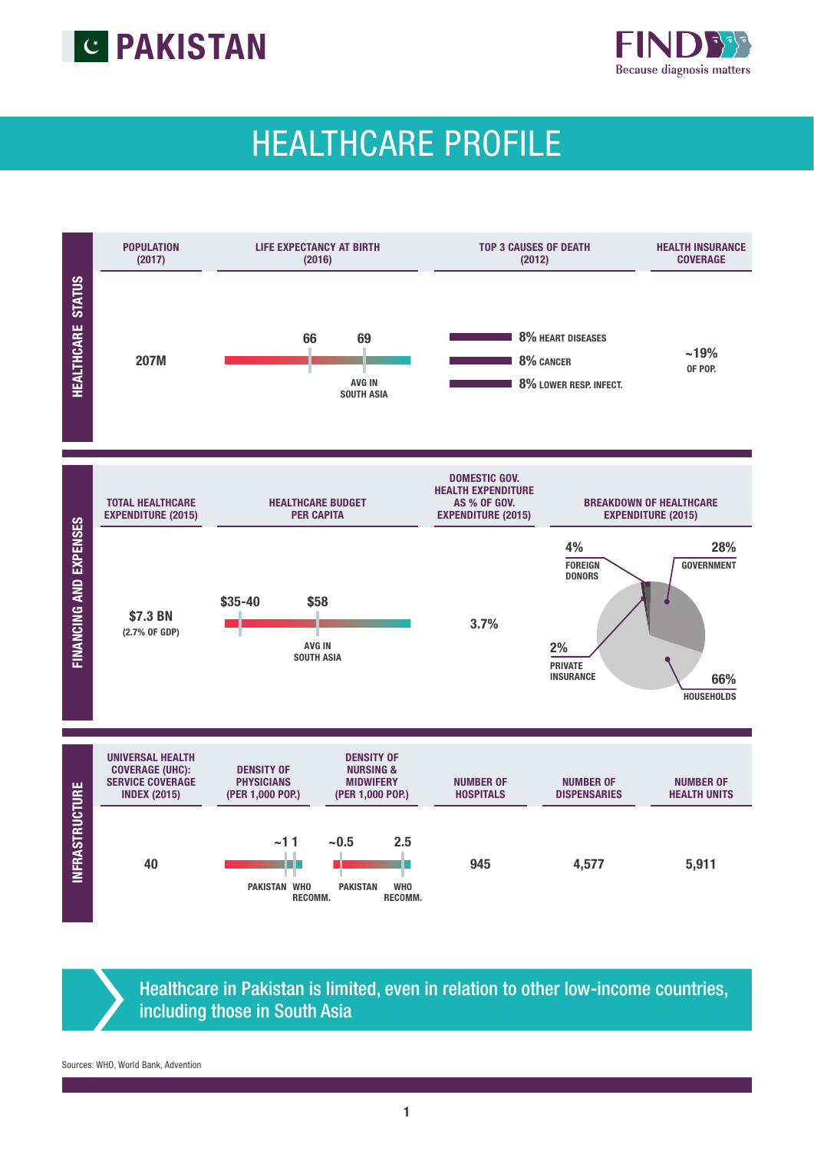



# HEALTHCARE PROFILE



Healthcare in Pakistan is limited, even in relation to other low-income countries, including those in South Asia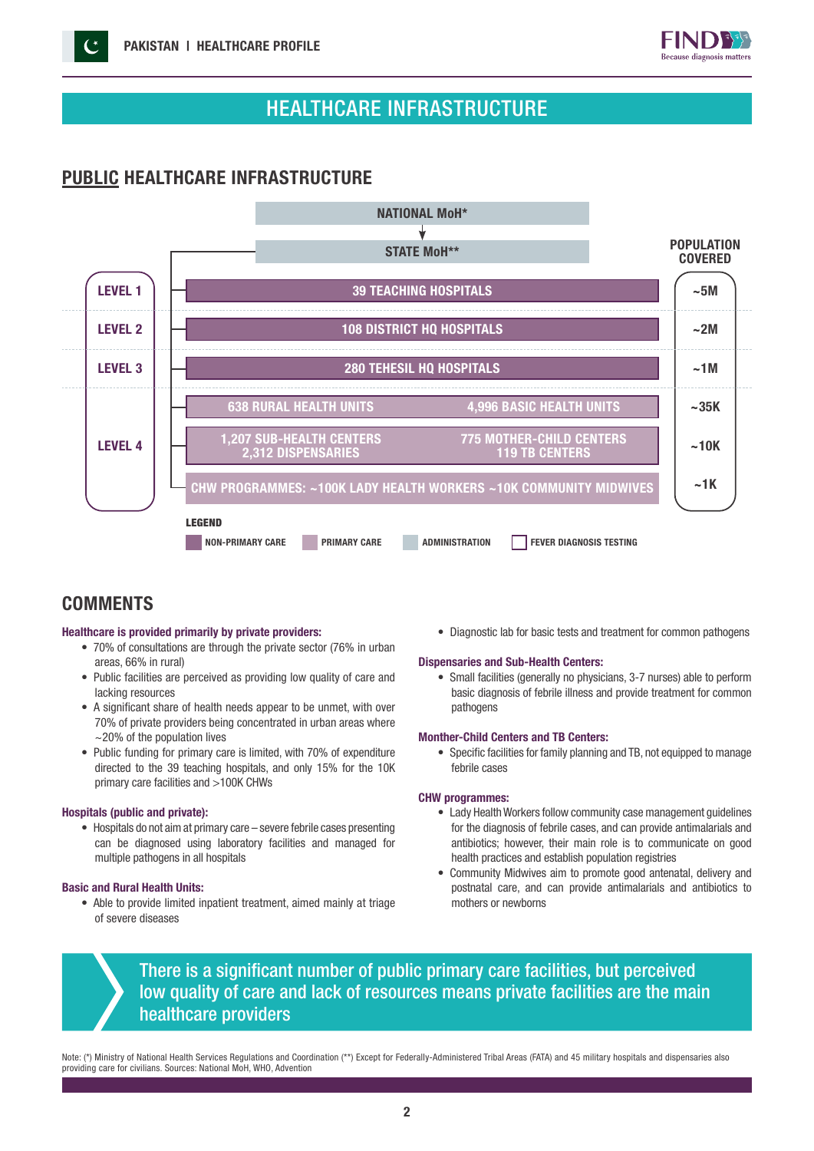



## HEALTHCARE INFRASTRUCTURE

## PUBLIC HEALTHCARE INFRASTRUCTURE



## **COMMENTS**

#### Healthcare is provided primarily by private providers:

- 70% of consultations are through the private sector (76% in urban areas, 66% in rural)
- Public facilities are perceived as providing low quality of care and lacking resources
- A significant share of health needs appear to be unmet, with over 70% of private providers being concentrated in urban areas where  $\sim$  20% of the population lives
- Public funding for primary care is limited, with 70% of expenditure directed to the 39 teaching hospitals, and only 15% for the 10K primary care facilities and >100K CHWs

#### Hospitals (public and private):

• Hospitals do not aim at primary care – severe febrile cases presenting can be diagnosed using laboratory facilities and managed for multiple pathogens in all hospitals

#### Basic and Rural Health Units:

• Able to provide limited inpatient treatment, aimed mainly at triage of severe diseases

• Diagnostic lab for basic tests and treatment for common pathogens

#### Dispensaries and Sub-Health Centers:

• Small facilities (generally no physicians, 3-7 nurses) able to perform basic diagnosis of febrile illness and provide treatment for common pathogens

#### Monther-Child Centers and TB Centers:

• Specific facilities for family planning and TB, not equipped to manage febrile cases

#### CHW programmes:

- Lady Health Workers follow community case management guidelines for the diagnosis of febrile cases, and can provide antimalarials and antibiotics; however, their main role is to communicate on good health practices and establish population registries
- Community Midwives aim to promote good antenatal, delivery and postnatal care, and can provide antimalarials and antibiotics to mothers or newborns



Note: (\*) Ministry of National Health Services Regulations and Coordination (\*\*) Except for Federally-Administered Tribal Areas (FATA) and 45 military hospitals and dispensaries also providing care for civilians. Sources: National MoH, WHO, Advention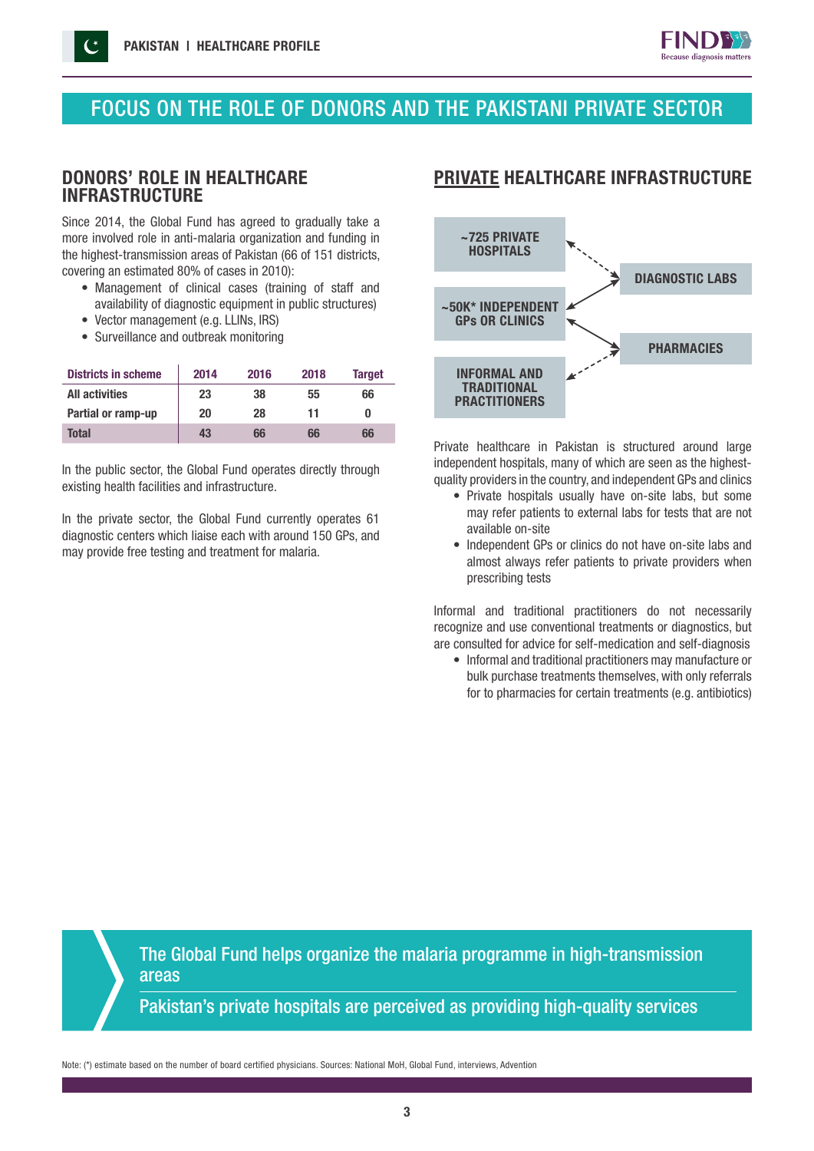

## FOCUS ON THE ROLE OF DONORS AND THE PAKISTANI PRIVATE SECTOR

# INFRASTRUCTURE

Since 2014, the Global Fund has agreed to gradually take a more involved role in anti-malaria organization and funding in the highest-transmission areas of Pakistan (66 of 151 districts, covering an estimated 80% of cases in 2010):

- Management of clinical cases (training of staff and availability of diagnostic equipment in public structures)
- Vector management (e.g. LLINs, IRS)
- Surveillance and outbreak monitoring

| <b>Districts in scheme</b> | 2014 | 2016 | 2018 | <b>Target</b> |
|----------------------------|------|------|------|---------------|
| <b>All activities</b>      | 23   | 38   | 55   | 66            |
| Partial or ramp-up         | 20   | 28   | 11   |               |
| Total                      | 43   | 66   | 66   | 66            |

In the public sector, the Global Fund operates directly through existing health facilities and infrastructure.

In the private sector, the Global Fund currently operates 61 diagnostic centers which liaise each with around 150 GPs, and may provide free testing and treatment for malaria.

## DONORS' ROLE IN HEALTHCARE PRIVATE HEALTHCARE INFRASTRUCTURE



Private healthcare in Pakistan is structured around large independent hospitals, many of which are seen as the highestquality providers in the country, and independent GPs and clinics

- Private hospitals usually have on-site labs, but some may refer patients to external labs for tests that are not available on-site
- Independent GPs or clinics do not have on-site labs and almost always refer patients to private providers when prescribing tests

Informal and traditional practitioners do not necessarily recognize and use conventional treatments or diagnostics, but are consulted for advice for self-medication and self-diagnosis

• Informal and traditional practitioners may manufacture or bulk purchase treatments themselves, with only referrals for to pharmacies for certain treatments (e.g. antibiotics)

The Global Fund helps organize the malaria programme in high-transmission areas

Pakistan's private hospitals are perceived as providing high-quality services

Note: (\*) estimate based on the number of board certified physicians. Sources: National MoH, Global Fund, interviews, Advention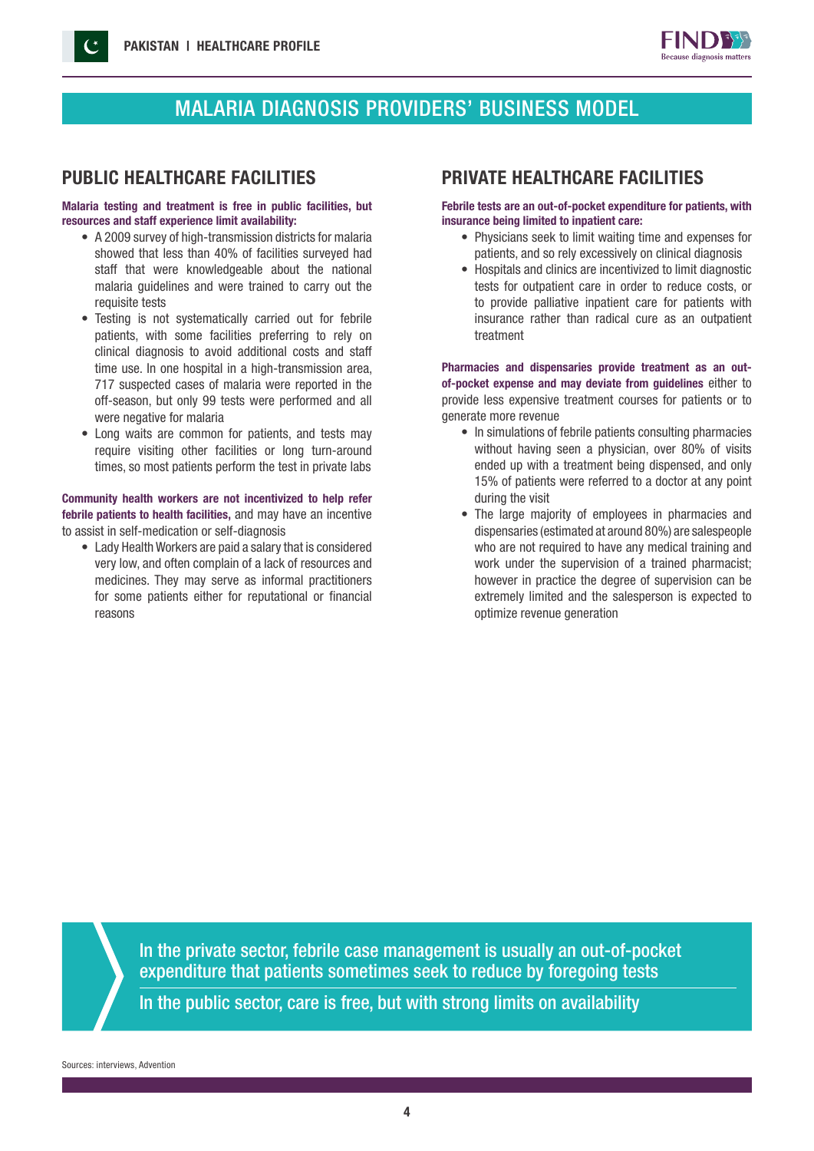

## MALARIA DIAGNOSIS PROVIDERS' BUSINESS MODEL

#### Malaria testing and treatment is free in public facilities, but resources and staff experience limit availability:

- A 2009 survey of high-transmission districts for malaria showed that less than 40% of facilities surveyed had staff that were knowledgeable about the national malaria guidelines and were trained to carry out the requisite tests
- Testing is not systematically carried out for febrile patients, with some facilities preferring to rely on clinical diagnosis to avoid additional costs and staff time use. In one hospital in a high-transmission area, 717 suspected cases of malaria were reported in the off-season, but only 99 tests were performed and all were negative for malaria
- Long waits are common for patients, and tests may require visiting other facilities or long turn-around times, so most patients perform the test in private labs

Community health workers are not incentivized to help refer febrile patients to health facilities, and may have an incentive to assist in self-medication or self-diagnosis

• Lady Health Workers are paid a salary that is considered very low, and often complain of a lack of resources and medicines. They may serve as informal practitioners for some patients either for reputational or financial reasons

## PUBLIC HEALTHCARE FACILITIES PRIVATE HEALTHCARE FACILITIES

Febrile tests are an out-of-pocket expenditure for patients, with insurance being limited to inpatient care:

- Physicians seek to limit waiting time and expenses for patients, and so rely excessively on clinical diagnosis
- Hospitals and clinics are incentivized to limit diagnostic tests for outpatient care in order to reduce costs, or to provide palliative inpatient care for patients with insurance rather than radical cure as an outpatient treatment

Pharmacies and dispensaries provide treatment as an outof-pocket expense and may deviate from guidelines either to provide less expensive treatment courses for patients or to generate more revenue

- In simulations of febrile patients consulting pharmacies without having seen a physician, over 80% of visits ended up with a treatment being dispensed, and only 15% of patients were referred to a doctor at any point during the visit
- The large majority of employees in pharmacies and dispensaries (estimated at around 80%) are salespeople who are not required to have any medical training and work under the supervision of a trained pharmacist; however in practice the degree of supervision can be extremely limited and the salesperson is expected to optimize revenue generation

In the private sector, febrile case management is usually an out-of-pocket expenditure that patients sometimes seek to reduce by foregoing tests

In the public sector, care is free, but with strong limits on availability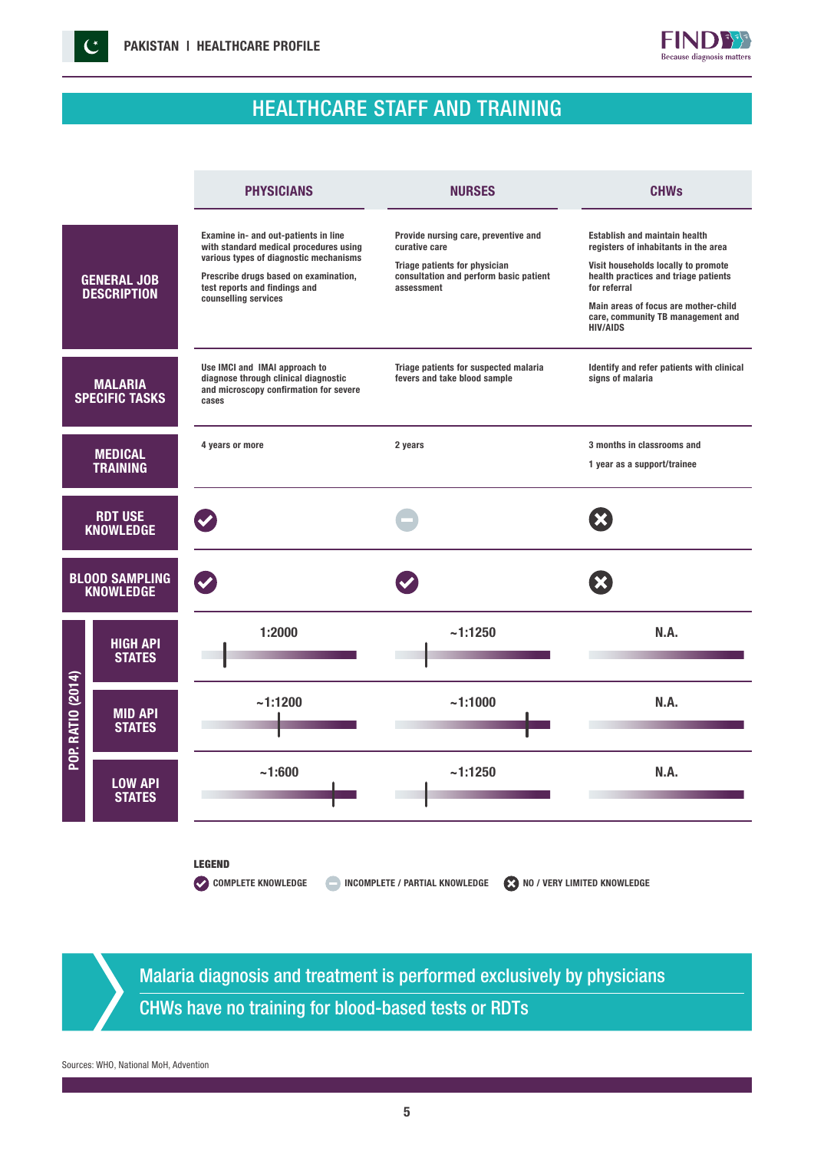



## HEALTHCARE STAFF AND TRAINING

| <b>PHYSICIANS</b>                        |                                           |                                                                                                                                                                                                                            | <b>NURSES</b>                                                                                                                                  | <b>CHWs</b>                                                                                                                                                                                                                                                                 |  |
|------------------------------------------|-------------------------------------------|----------------------------------------------------------------------------------------------------------------------------------------------------------------------------------------------------------------------------|------------------------------------------------------------------------------------------------------------------------------------------------|-----------------------------------------------------------------------------------------------------------------------------------------------------------------------------------------------------------------------------------------------------------------------------|--|
| <b>GENERAL JOB</b><br><b>DESCRIPTION</b> |                                           | Examine in- and out-patients in line<br>with standard medical procedures using<br>various types of diagnostic mechanisms<br>Prescribe drugs based on examination,<br>test reports and findings and<br>counselling services | Provide nursing care, preventive and<br>curative care<br>Triage patients for physician<br>consultation and perform basic patient<br>assessment | <b>Establish and maintain health</b><br>registers of inhabitants in the area<br>Visit households locally to promote<br>health practices and triage patients<br>for referral<br>Main areas of focus are mother-child<br>care, community TB management and<br><b>HIV/AIDS</b> |  |
| <b>MALARIA</b><br><b>SPECIFIC TASKS</b>  |                                           | Use IMCI and IMAI approach to<br>diagnose through clinical diagnostic<br>and microscopy confirmation for severe<br>cases                                                                                                   | Triage patients for suspected malaria<br>fevers and take blood sample                                                                          | Identify and refer patients with clinical<br>signs of malaria                                                                                                                                                                                                               |  |
| <b>MEDICAL</b><br><b>TRAINING</b>        |                                           | 4 years or more                                                                                                                                                                                                            | 2 years                                                                                                                                        | 3 months in classrooms and<br>1 year as a support/trainee                                                                                                                                                                                                                   |  |
| <b>RDT USE</b><br><b>KNOWLEDGE</b>       |                                           |                                                                                                                                                                                                                            |                                                                                                                                                |                                                                                                                                                                                                                                                                             |  |
|                                          | <b>BLOOD SAMPLING</b><br><b>KNOWLEDGE</b> |                                                                                                                                                                                                                            |                                                                                                                                                |                                                                                                                                                                                                                                                                             |  |
| <b>POP. RATIO (2014)</b>                 | <b>HIGH API</b><br><b>STATES</b>          | 1:2000                                                                                                                                                                                                                     | ~1:1250                                                                                                                                        | N.A.                                                                                                                                                                                                                                                                        |  |
|                                          | <b>MID API</b><br><b>STATES</b>           | ~1:1200                                                                                                                                                                                                                    | ~1:1000                                                                                                                                        | N.A.                                                                                                                                                                                                                                                                        |  |
|                                          | <b>LOW API</b><br><b>STATES</b>           | ~1:600                                                                                                                                                                                                                     | ~1:1250                                                                                                                                        | N.A.                                                                                                                                                                                                                                                                        |  |
|                                          |                                           | <b>LEGEND</b><br><b>COMPLETE KNOWLEDGE</b>                                                                                                                                                                                 | INCOMPLETE / PARTIAL KNOWLEDGE                                                                                                                 | NO / VERY LIMITED KNOWLEDGE                                                                                                                                                                                                                                                 |  |

Malaria diagnosis and treatment is performed exclusively by physicians CHWs have no training for blood-based tests or RDTs

Sources: WHO, National MoH, Advention